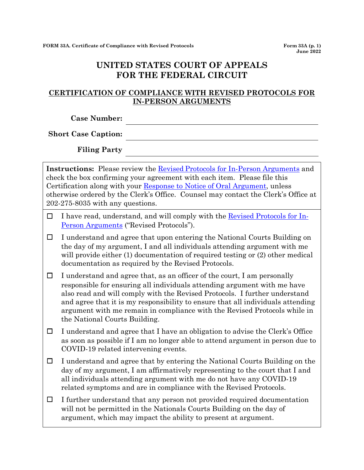## **UNITED STATES COURT OF APPEALS FOR THE FEDERAL CIRCUIT**

## **CERTIFICATION OF COMPLIANCE WITH REVISED PROTOCOLS FOR IN-PERSON ARGUMENTS**

**Case Number:**

**Short Case Caption:**

**Filing Party**

**Instructions:** Please review the Revised [Protocols for In-Person Arguments](http://www.cafc.uscourts.gov/sites/default/files/arguments/RevisedProtocolsInPersonArguments.pdf) and check the box confirming your agreement with each item. Please file this Certification along with your [Response to Notice of Oral Argument,](http://www.cafc.uscourts.gov/sites/default/files/rules-of-practice/forms/form33.pdf.) unless otherwise ordered by the Clerk's Office. Counsel may contact the Clerk's Office at 202-275-8035 with any questions.

- $\Box$  I have read, understand, and will comply with the <u>Revised Protocols for In-</u> [Person Arguments](http://www.cafc.uscourts.gov/sites/default/files/arguments/RevisedProtocolsInPersonArguments.pdf) ("Revised Protocols").
- ☐ I understand and agree that upon entering the National Courts Building on the day of my argument, I and all individuals attending argument with me will provide either (1) documentation of required testing or (2) other medical documentation as required by the Revised Protocols.

 $\Box$  I understand and agree that, as an officer of the court, I am personally responsible for ensuring all individuals attending argument with me have also read and will comply with the Revised Protocols. I further understand and agree that it is my responsibility to ensure that all individuals attending argument with me remain in compliance with the Revised Protocols while in the National Courts Building.

 $\Box$  I understand and agree that I have an obligation to advise the Clerk's Office as soon as possible if I am no longer able to attend argument in person due to COVID-19 related intervening events.

☐ I understand and agree that by entering the National Courts Building on the day of my argument, I am affirmatively representing to the court that I and all individuals attending argument with me do not have any COVID-19 related symptoms and are in compliance with the Revised Protocols.

 $\Box$  I further understand that any person not provided required documentation will not be permitted in the Nationals Courts Building on the day of argument, which may impact the ability to present at argument.